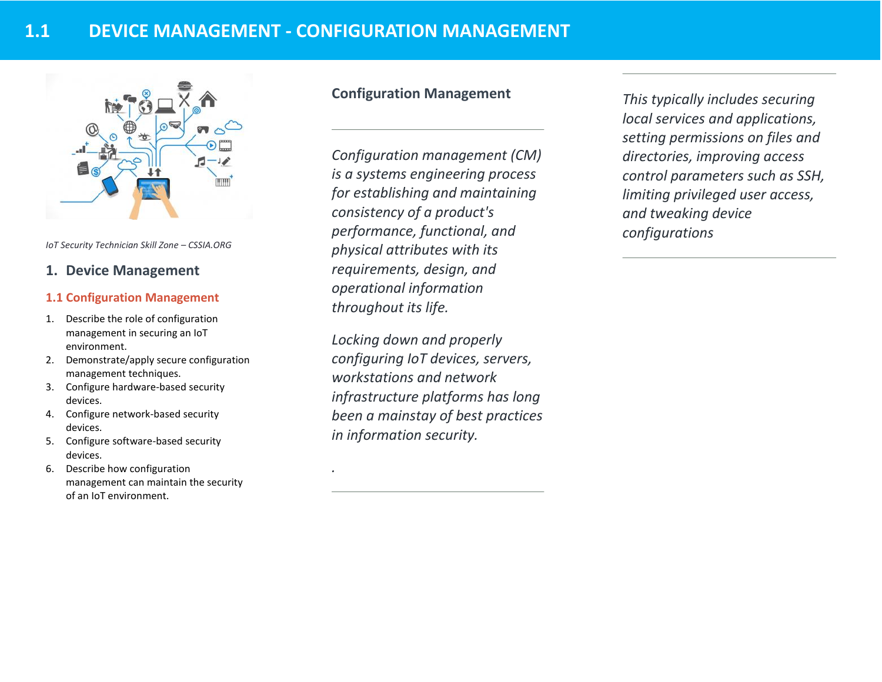

*IoT Security Technician Skill Zone – CSSIA.ORG*

# **1. Device Management**

#### **1.1 Configuration Management**

- 1. Describe the role of configuration management in securing an IoT environment.
- 2. Demonstrate/apply secure configuration management techniques.
- 3. Configure hardware-based security devices.
- 4. Configure network-based security devices.
- 5. Configure software-based security devices.
- 6. Describe how configuration management can maintain the security of an IoT environment.

# **Configuration Management**

*Configuration management (CM) is a systems engineering process for establishing and maintaining consistency of a product's performance, functional, and physical attributes with its requirements, design, and operational information throughout its life.*

*Locking down and properly configuring IoT devices, servers, workstations and network infrastructure platforms has long been a mainstay of best practices in information security.* 

*.*

*This typically includes securing local services and applications, setting permissions on files and directories, improving access control parameters such as SSH, limiting privileged user access, and tweaking device configurations*